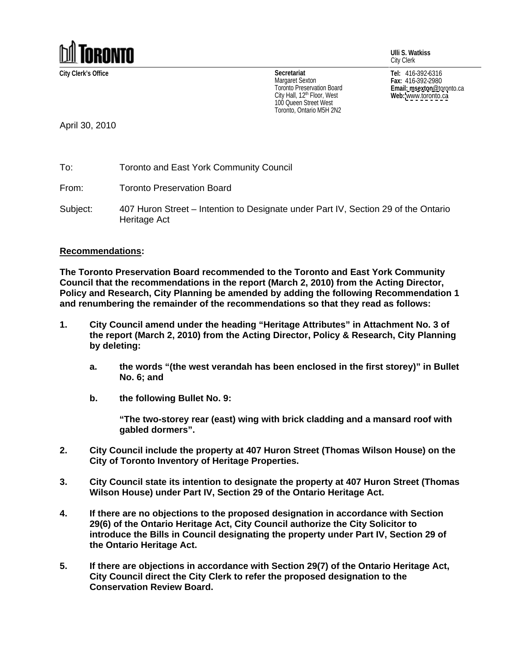

**Ulli S. Watkiss** City Clerk

City Hall, 12<sup>th</sup> Floor, West **Web:** www.toronto.ca 100 Queen Street West Toronto, Ontario M5H 2N2

**City Clerk's Office Tel:** 416-392-6316 **Fax:** 416-392-2980 **Email: msexton**@toronto.ca **Web:** [www.toronto.ca](http://www.toronto.ca) **Secretariat** Margaret Sexton  $_{max:416-392-2980}$ I oronto Preservation Board **Example 2018 Email: msexton** @toronto.ca

April 30, 2010

To: Toronto and East York Community Council

From: Toronto Preservation Board

Subject: 407 Huron Street – Intention to Designate under Part IV, Section 29 of the Ontario Heritage Act

## **Recommendations:**

**The Toronto Preservation Board recommended to the Toronto and East York Community Council that the recommendations in the report (March 2, 2010) from the Acting Director, Policy and Research, City Planning be amended by adding the following Recommendation 1 and renumbering the remainder of the recommendations so that they read as follows:**

- **1. City Council amend under the heading "Heritage Attributes" in Attachment No. 3 of the report (March 2, 2010) from the Acting Director, Policy & Research, City Planning by deleting:**
	- **a. the words "(the west verandah has been enclosed in the first storey)" in Bullet No. 6; and**
	- **b. the following Bullet No. 9:**

**"The two-storey rear (east) wing with brick cladding and a mansard roof with gabled dormers".**

- **2. City Council include the property at 407 Huron Street (Thomas Wilson House) on the City of Toronto Inventory of Heritage Properties.**
- **3. City Council state its intention to designate the property at 407 Huron Street (Thomas Wilson House) under Part IV, Section 29 of the Ontario Heritage Act.**
- **4. If there are no objections to the proposed designation in accordance with Section 29(6) of the Ontario Heritage Act, City Council authorize the City Solicitor to introduce the Bills in Council designating the property under Part IV, Section 29 of the Ontario Heritage Act.**
- **5. If there are objections in accordance with Section 29(7) of the Ontario Heritage Act, City Council direct the City Clerk to refer the proposed designation to the Conservation Review Board.**